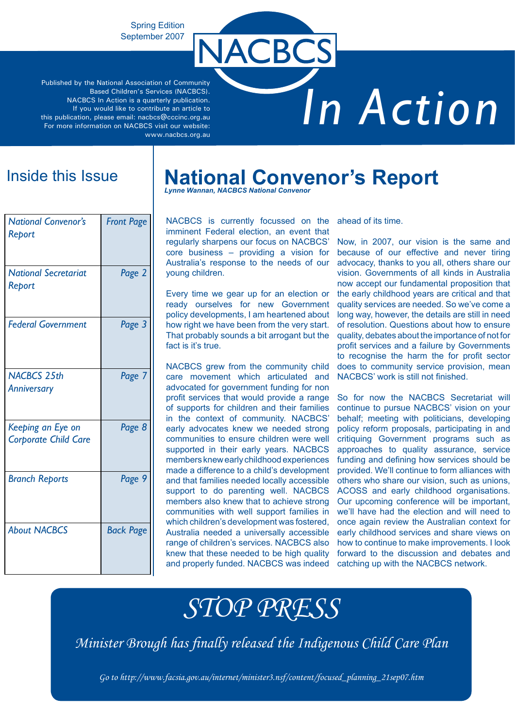### Spring Edition September 2007

Published by the National Association of Community Based Children's Services (NACBCS). NACBCS In Action is a quarterly publication. If you would like to contribute an article to this publication, please email: nacbcs@cccinc.org.au For more information on NACBCS visit our website: www.nacbcs.org.au

# *In Action*

## Inside this Issue

| <b>National Convenor's</b><br>Report             | <b>Front Page</b> |
|--------------------------------------------------|-------------------|
| <b>National Secretariat</b><br>Report            | Page 2            |
| <b>Federal Government</b>                        | Page 3            |
| <b>NACBCS 25th</b><br>Anniversary                | Page 7            |
| Keeping an Eye on<br><b>Corporate Child Care</b> | Page 8            |
| <b>Branch Reports</b>                            | Page 9            |
| <b>About NACBCS</b>                              | <b>Back Page</b>  |

## **National Convenor's Report**

*Lynne Wannan, NACBCS National Convenor*

NACBCS

NACBCS is currently focussed on the imminent Federal election, an event that regularly sharpens our focus on NACBCS' core business – providing a vision for Australia's response to the needs of our young children.

Every time we gear up for an election or ready ourselves for new Government policy developments, I am heartened about how right we have been from the very start. That probably sounds a bit arrogant but the fact is it's true.

NACBCS grew from the community child care movement which articulated and advocated for government funding for non profit services that would provide a range of supports for children and their families in the context of community. NACBCS' early advocates knew we needed strong communities to ensure children were well supported in their early years. NACBCS members knew early childhood experiences made a difference to a child's development and that families needed locally accessible support to do parenting well. NACBCS members also knew that to achieve strong communities with well support families in which children's development was fostered, Australia needed a universally accessible range of children's services. NACBCS also knew that these needed to be high quality and properly funded. NACBCS was indeed

ahead of its time.

Now, in 2007, our vision is the same and because of our effective and never tiring advocacy, thanks to you all, others share our vision. Governments of all kinds in Australia now accept our fundamental proposition that the early childhood years are critical and that quality services are needed. So we've come a long way, however, the details are still in need of resolution. Questions about how to ensure quality, debates about the importance of not for profit services and a failure by Governments to recognise the harm the for profit sector does to community service provision, mean NACBCS' work is still not finished.

So for now the NACBCS Secretariat will continue to pursue NACBCS' vision on your behalf; meeting with politicians, developing policy reform proposals, participating in and critiquing Government programs such as approaches to quality assurance, service funding and defining how services should be provided. We'll continue to form alliances with others who share our vision, such as unions, ACOSS and early childhood organisations. Our upcoming conference will be important, we'll have had the election and will need to once again review the Australian context for early childhood services and share views on how to continue to make improvements. I look forward to the discussion and debates and catching up with the NACBCS network.

# *STOP PRESS*

*Minister Brough has finally released the Indigenous Child Care Plan*

*Go to http://www.facsia.gov.au/internet/minister3.nsf/content/focused\_planning\_21sep07.htm*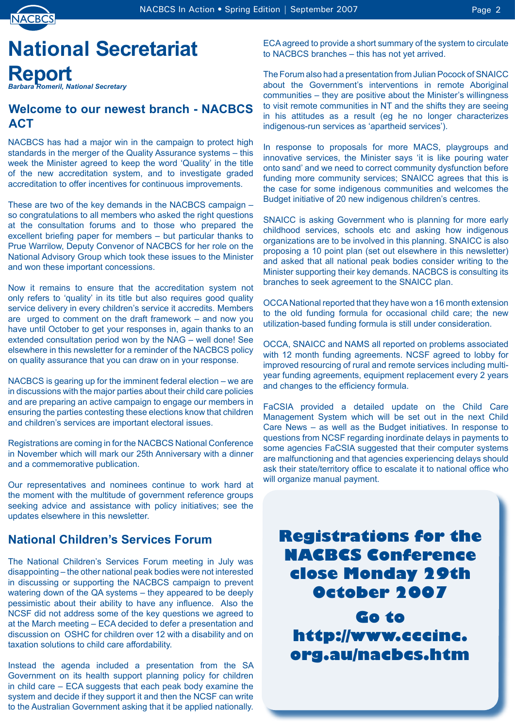

# **National Secretariat Report** *Barbara Romeril, National Secretary*

### **Welcome to our newest branch - NACBCS ACT**

NACBCS has had a major win in the campaign to protect high standards in the merger of the Quality Assurance systems – this week the Minister agreed to keep the word 'Quality' in the title of the new accreditation system, and to investigate graded accreditation to offer incentives for continuous improvements.

These are two of the key demands in the NACBCS campaign – so congratulations to all members who asked the right questions at the consultation forums and to those who prepared the excellent briefing paper for members – but particular thanks to Prue Warrilow, Deputy Convenor of NACBCS for her role on the National Advisory Group which took these issues to the Minister and won these important concessions.

Now it remains to ensure that the accreditation system not only refers to 'quality' in its title but also requires good quality service delivery in every children's service it accredits. Members are urged to comment on the draft framework – and now you have until October to get your responses in, again thanks to an extended consultation period won by the NAG – well done! See elsewhere in this newsletter for a reminder of the NACBCS policy on quality assurance that you can draw on in your response.

NACBCS is gearing up for the imminent federal election – we are in discussions with the major parties about their child care policies and are preparing an active campaign to engage our members in ensuring the parties contesting these elections know that children and children's services are important electoral issues.

Registrations are coming in for the NACBCS National Conference in November which will mark our 25th Anniversary with a dinner and a commemorative publication.

Our representatives and nominees continue to work hard at the moment with the multitude of government reference groups seeking advice and assistance with policy initiatives; see the updates elsewhere in this newsletter.

### **National Children's Services Forum**

The National Children's Services Forum meeting in July was disappointing – the other national peak bodies were not interested in discussing or supporting the NACBCS campaign to prevent watering down of the QA systems – they appeared to be deeply pessimistic about their ability to have any influence. Also the NCSF did not address some of the key questions we agreed to at the March meeting – ECA decided to defer a presentation and discussion on OSHC for children over 12 with a disability and on taxation solutions to child care affordability.

Instead the agenda included a presentation from the SA Government on its health support planning policy for children in child care – ECA suggests that each peak body examine the system and decide if they support it and then the NCSF can write to the Australian Government asking that it be applied nationally. ECA agreed to provide a short summary of the system to circulate to NACBCS branches – this has not yet arrived.

The Forum also had a presentation from Julian Pocock of SNAICC about the Government's interventions in remote Aboriginal communities – they are positive about the Minister's willingness to visit remote communities in NT and the shifts they are seeing in his attitudes as a result (eg he no longer characterizes indigenous-run services as 'apartheid services').

In response to proposals for more MACS, playgroups and innovative services, the Minister says 'it is like pouring water onto sand' and we need to correct community dysfunction before funding more community services; SNAICC agrees that this is the case for some indigenous communities and welcomes the Budget initiative of 20 new indigenous children's centres.

SNAICC is asking Government who is planning for more early childhood services, schools etc and asking how indigenous organizations are to be involved in this planning. SNAICC is also proposing a 10 point plan (set out elsewhere in this newsletter) and asked that all national peak bodies consider writing to the Minister supporting their key demands. NACBCS is consulting its branches to seek agreement to the SNAICC plan.

OCCA National reported that they have won a 16 month extension to the old funding formula for occasional child care; the new utilization-based funding formula is still under consideration.

OCCA, SNAICC and NAMS all reported on problems associated with 12 month funding agreements. NCSF agreed to lobby for improved resourcing of rural and remote services including multiyear funding agreements, equipment replacement every 2 years and changes to the efficiency formula.

FaCSIA provided a detailed update on the Child Care Management System which will be set out in the next Child Care News – as well as the Budget initiatives. In response to questions from NCSF regarding inordinate delays in payments to some agencies FaCSIA suggested that their computer systems are malfunctioning and that agencies experiencing delays should ask their state/territory office to escalate it to national office who will organize manual payment.



**Go to http://www.cccinc. org.au/nacbcs.htm**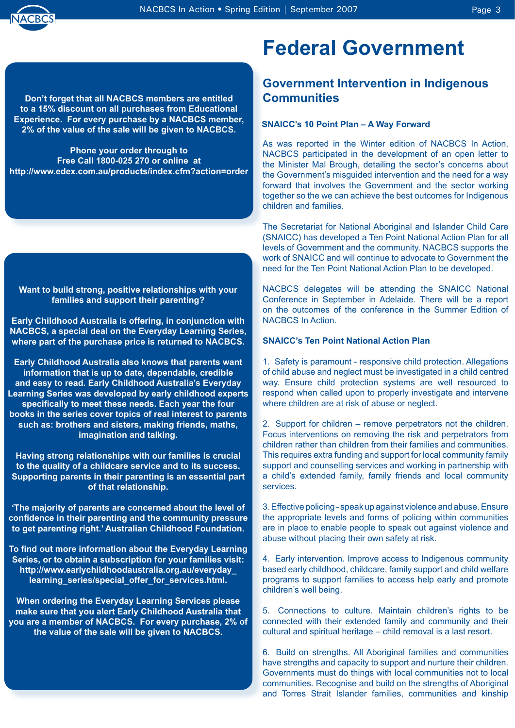

**Don't forget that all NACBCS members are entitled to a 15% discount on all purchases from Educational Experience. For every purchase by a NACBCS member, 2% of the value of the sale will be given to NACBCS.**

**Phone your order through to Free Call 1800-025 270 or online at http://www.edex.com.au/products/index.cfm?action=order**

**Want to build strong, positive relationships with your families and support their parenting?**

**Early Childhood Australia is offering, in conjunction with NACBCS, a special deal on the Everyday Learning Series, where part of the purchase price is returned to NACBCS.**

**Early Childhood Australia also knows that parents want information that is up to date, dependable, credible and easy to read. Early Childhood Australia's Everyday Learning Series was developed by early childhood experts specifically to meet these needs. Each year the four books in the series cover topics of real interest to parents such as: brothers and sisters, making friends, maths, imagination and talking.** 

**Having strong relationships with our families is crucial to the quality of a childcare service and to its success. Supporting parents in their parenting is an essential part of that relationship.** 

**'The majority of parents are concerned about the level of confidence in their parenting and the community pressure to get parenting right.' Australian Childhood Foundation.** 

**To find out more information about the Everyday Learning Series, or to obtain a subscription for your families visit: http://www.earlychildhoodaustralia.org.au/everyday\_ learning\_series/special\_offer\_for\_services.html.** 

**When ordering the Everyday Learning Services please make sure that you alert Early Childhood Australia that you are a member of NACBCS. For every purchase, 2% of the value of the sale will be given to NACBCS.**

# **Federal Government**

### **Government Intervention in Indigenous Communities**

### **SNAICC's 10 Point Plan – A Way Forward**

As was reported in the Winter edition of NACBCS In Action, NACBCS participated in the development of an open letter to the Minister Mal Brough, detailing the sector's concerns about the Government's misguided intervention and the need for a way forward that involves the Government and the sector working together so the we can achieve the best outcomes for Indigenous children and families.

The Secretariat for National Aboriginal and Islander Child Care (SNAICC) has developed a Ten Point National Action Plan for all levels of Government and the community. NACBCS supports the work of SNAICC and will continue to advocate to Government the need for the Ten Point National Action Plan to be developed.

NACBCS delegates will be attending the SNAICC National Conference in September in Adelaide. There will be a report on the outcomes of the conference in the Summer Edition of NACBCS In Action.

### **SNAICC's Ten Point National Action Plan**

1. Safety is paramount - responsive child protection. Allegations of child abuse and neglect must be investigated in a child centred way. Ensure child protection systems are well resourced to respond when called upon to properly investigate and intervene where children are at risk of abuse or neglect.

2. Support for children – remove perpetrators not the children. Focus interventions on removing the risk and perpetrators from children rather than children from their families and communities. This requires extra funding and support for local community family support and counselling services and working in partnership with a child's extended family, family friends and local community services.

3. Effective policing - speak up against violence and abuse. Ensure the appropriate levels and forms of policing within communities are in place to enable people to speak out against violence and abuse without placing their own safety at risk.

4. Early intervention. Improve access to Indigenous community based early childhood, childcare, family support and child welfare programs to support families to access help early and promote children's well being.

5. Connections to culture. Maintain children's rights to be connected with their extended family and community and their cultural and spiritual heritage – child removal is a last resort.

6. Build on strengths. All Aboriginal families and communities have strengths and capacity to support and nurture their children. Governments must do things with local communities not to local communities. Recognise and build on the strengths of Aboriginal and Torres Strait Islander families, communities and kinship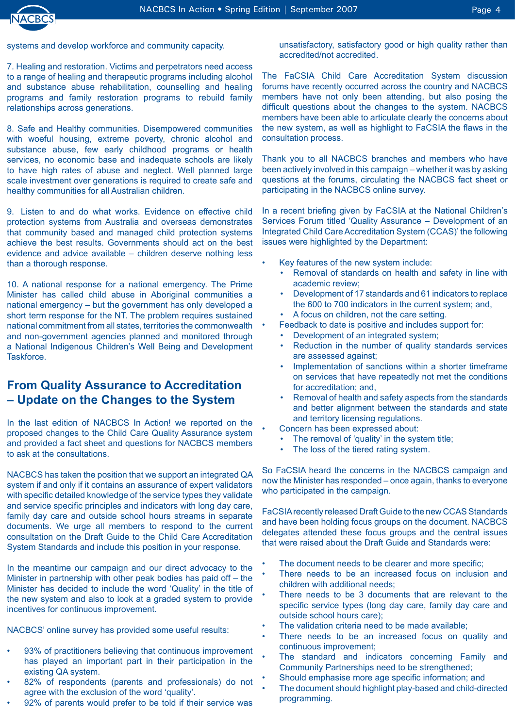

•

•

7. Healing and restoration. Victims and perpetrators need access to a range of healing and therapeutic programs including alcohol and substance abuse rehabilitation, counselling and healing programs and family restoration programs to rebuild family relationships across generations.

8. Safe and Healthy communities. Disempowered communities with woeful housing, extreme poverty, chronic alcohol and substance abuse, few early childhood programs or health services, no economic base and inadequate schools are likely to have high rates of abuse and neglect. Well planned large scale investment over generations is required to create safe and healthy communities for all Australian children.

9. Listen to and do what works. Evidence on effective child protection systems from Australia and overseas demonstrates that community based and managed child protection systems achieve the best results. Governments should act on the best evidence and advice available – children deserve nothing less than a thorough response.

10. A national response for a national emergency. The Prime Minister has called child abuse in Aboriginal communities a national emergency – but the government has only developed a short term response for the NT. The problem requires sustained national commitment from all states, territories the commonwealth and non-government agencies planned and monitored through a National Indigenous Children's Well Being and Development **Taskforce** 

### **From Quality Assurance to Accreditation – Update on the Changes to the System**

In the last edition of NACBCS In Action! we reported on the proposed changes to the Child Care Quality Assurance system and provided a fact sheet and questions for NACBCS members to ask at the consultations.

NACBCS has taken the position that we support an integrated QA system if and only if it contains an assurance of expert validators with specific detailed knowledge of the service types they validate and service specific principles and indicators with long day care, family day care and outside school hours streams in separate documents. We urge all members to respond to the current consultation on the Draft Guide to the Child Care Accreditation System Standards and include this position in your response.

In the meantime our campaign and our direct advocacy to the Minister in partnership with other peak bodies has paid off – the Minister has decided to include the word 'Quality' in the title of the new system and also to look at a graded system to provide incentives for continuous improvement.

NACBCS' online survey has provided some useful results:

- 93% of practitioners believing that continuous improvement has played an important part in their participation in the existing QA system. •
- 82% of respondents (parents and professionals) do not agree with the exclusion of the word 'quality'. •
- 92% of parents would prefer to be told if their service was •

unsatisfactory, satisfactory good or high quality rather than accredited/not accredited.

The FaCSIA Child Care Accreditation System discussion forums have recently occurred across the country and NACBCS members have not only been attending, but also posing the difficult questions about the changes to the system. NACBCS members have been able to articulate clearly the concerns about the new system, as well as highlight to FaCSIA the flaws in the consultation process.

Thank you to all NACBCS branches and members who have been actively involved in this campaign – whether it was by asking questions at the forums, circulating the NACBCS fact sheet or participating in the NACBCS online survey.

In a recent briefing given by FaCSIA at the National Children's Services Forum titled 'Quality Assurance – Development of an Integrated Child Care Accreditation System (CCAS)' the following issues were highlighted by the Department:

- Key features of the new system include: •
	- Removal of standards on health and safety in line with academic review; •
	- Development of 17 standards and 61 indicators to replace the 600 to 700 indicators in the current system; and, •
	- A focus on children, not the care setting. •
	- Feedback to date is positive and includes support for:
		- Development of an integrated system; •
		- Reduction in the number of quality standards services are assessed against; •
		- Implementation of sanctions within a shorter timeframe on services that have repeatedly not met the conditions for accreditation; and, •
		- Removal of health and safety aspects from the standards and better alignment between the standards and state and territory licensing regulations. •
	- Concern has been expressed about:
	- The removal of 'quality' in the system title; •
	- The loss of the tiered rating system. •

So FaCSIA heard the concerns in the NACBCS campaign and now the Minister has responded – once again, thanks to everyone who participated in the campaign.

FaCSIA recently released Draft Guide to the new CCAS Standards and have been holding focus groups on the document. NACBCS delegates attended these focus groups and the central issues that were raised about the Draft Guide and Standards were:

- The document needs to be clearer and more specific; •
- There needs to be an increased focus on inclusion and children with additional needs; •
- There needs to be 3 documents that are relevant to the specific service types (long day care, family day care and outside school hours care); •
- The validation criteria need to be made available; •
- There needs to be an increased focus on quality and continuous improvement; •
- The standard and indicators concerning Family and Community Partnerships need to be strengthened; •
- Should emphasise more age specific information; and •
- The document should highlight play-based and child-directed programming. •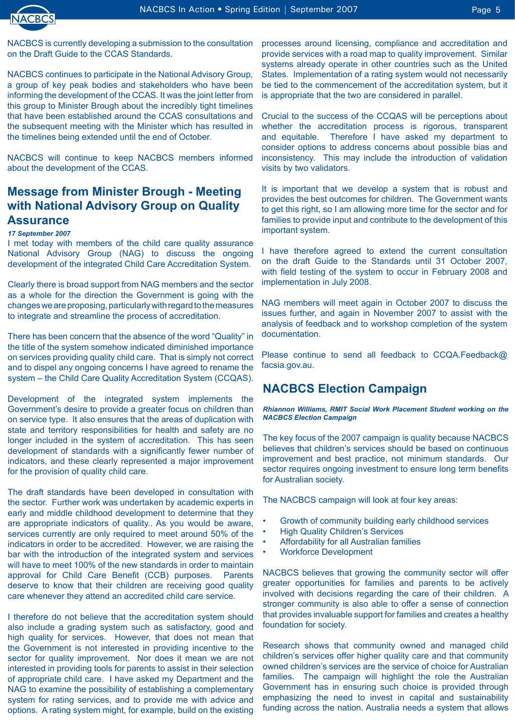

NACBCS is currently developing a submission to the consultation on the Draft Guide to the CCAS Standards.

NACBCS continues to participate in the National Advisory Group, a group of key peak bodies and stakeholders who have been informing the development of the CCAS. It was the joint letter from this group to Minister Brough about the incredibly tight timelines that have been established around the CCAS consultations and the subsequent meeting with the Minister which has resulted in the timelines being extended until the end of October.

NACBCS will continue to keep NACBCS members informed about the development of the CCAS.

### **Message from Minister Brough - Meeting with National Advisory Group on Quality Assurance**

#### *17 September 2007*

I met today with members of the child care quality assurance National Advisory Group (NAG) to discuss the ongoing development of the integrated Child Care Accreditation System.

Clearly there is broad support from NAG members and the sector as a whole for the direction the Government is going with the changes we are proposing, particularly with regard to the measures to integrate and streamline the process of accreditation.

There has been concern that the absence of the word "Quality" in the title of the system somehow indicated diminished importance on services providing quality child care. That is simply not correct and to dispel any ongoing concerns I have agreed to rename the system – the Child Care Quality Accreditation System (CCQAS).

Development of the integrated system implements the Government's desire to provide a greater focus on children than on service type. It also ensures that the areas of duplication with state and territory responsibilities for health and safety are no longer included in the system of accreditation. This has seen development of standards with a significantly fewer number of indicators, and these clearly represented a major improvement for the provision of quality child care.

The draft standards have been developed in consultation with the sector. Further work was undertaken by academic experts in early and middle childhood development to determine that they are appropriate indicators of quality.. As you would be aware, services currently are only required to meet around 50% of the indicators in order to be accredited. However, we are raising the bar with the introduction of the integrated system and services will have to meet 100% of the new standards in order to maintain approval for Child Care Benefit (CCB) purposes. Parents deserve to know that their children are receiving good quality care whenever they attend an accredited child care service.

I therefore do not believe that the accreditation system should also include a grading system such as satisfactory, good and high quality for services. However, that does not mean that the Government is not interested in providing incentive to the sector for quality improvement. Nor does it mean we are not interested in providing tools for parents to assist in their selection of appropriate child care. I have asked my Department and the NAG to examine the possibility of establishing a complementary system for rating services, and to provide me with advice and options. A rating system might, for example, build on the existing

processes around licensing, compliance and accreditation and provide services with a road map to quality improvement. Similar systems already operate in other countries such as the United States. Implementation of a rating system would not necessarily be tied to the commencement of the accreditation system, but it is appropriate that the two are considered in parallel.

Crucial to the success of the CCQAS will be perceptions about whether the accreditation process is rigorous, transparent and equitable. Therefore I have asked my department to consider options to address concerns about possible bias and inconsistency. This may include the introduction of validation visits by two validators.

It is important that we develop a system that is robust and provides the best outcomes for children. The Government wants to get this right, so I am allowing more time for the sector and for families to provide input and contribute to the development of this important system.

I have therefore agreed to extend the current consultation on the draft Guide to the Standards until 31 October 2007, with field testing of the system to occur in February 2008 and implementation in July 2008.

NAG members will meet again in October 2007 to discuss the issues further, and again in November 2007 to assist with the analysis of feedback and to workshop completion of the system documentation.

Please continue to send all feedback to CCQA.Feedback@ facsia.gov.au.

### **NACBCS Election Campaign**

*Rhiannon Williams, RMIT Social Work Placement Student working on the NACBCS Election Campaign*

The key focus of the 2007 campaign is quality because NACBCS believes that children's services should be based on continuous improvement and best practice, not minimum standards. Our sector requires ongoing investment to ensure long term benefits for Australian society.

The NACBCS campaign will look at four key areas:

- Growth of community building early childhood services •
- High Quality Children's Services •
- Affordability for all Australian families •
- Workforce Development •

NACBCS believes that growing the community sector will offer greater opportunities for families and parents to be actively involved with decisions regarding the care of their children. A stronger community is also able to offer a sense of connection that provides invaluable support for families and creates a healthy foundation for society.

Research shows that community owned and managed child children's services offer higher quality care and that community owned children's services are the service of choice for Australian families. The campaign will highlight the role the Australian Government has in ensuring such choice is provided through emphasizing the need to invest in capital and sustainability funding across the nation. Australia needs a system that allows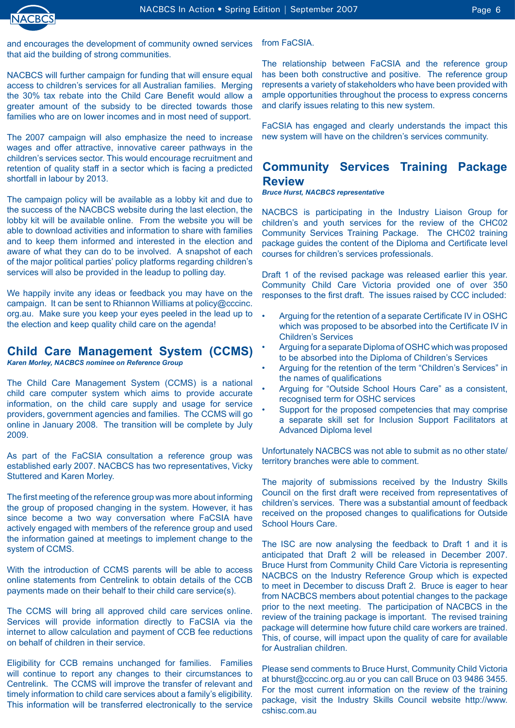

and encourages the development of community owned services that aid the building of strong communities.

NACBCS will further campaign for funding that will ensure equal access to children's services for all Australian families. Merging the 30% tax rebate into the Child Care Benefit would allow a greater amount of the subsidy to be directed towards those families who are on lower incomes and in most need of support.

The 2007 campaign will also emphasize the need to increase wages and offer attractive, innovative career pathways in the children's services sector. This would encourage recruitment and retention of quality staff in a sector which is facing a predicted shortfall in labour by 2013.

The campaign policy will be available as a lobby kit and due to the success of the NACBCS website during the last election, the lobby kit will be available online. From the website you will be able to download activities and information to share with families and to keep them informed and interested in the election and aware of what they can do to be involved. A snapshot of each of the major political parties' policy platforms regarding children's services will also be provided in the leadup to polling day.

We happily invite any ideas or feedback you may have on the campaign. It can be sent to Rhiannon Williams at policy@cccinc. org.au. Make sure you keep your eyes peeled in the lead up to the election and keep quality child care on the agenda!

### **Child Care Management System (CCMS)**

*Karen Morley, NACBCS nominee on Reference Group*

The Child Care Management System (CCMS) is a national child care computer system which aims to provide accurate information, on the child care supply and usage for service providers, government agencies and families. The CCMS will go online in January 2008. The transition will be complete by July 2009.

As part of the FaCSIA consultation a reference group was established early 2007. NACBCS has two representatives, Vicky Stuttered and Karen Morley.

The first meeting of the reference group was more about informing the group of proposed changing in the system. However, it has since become a two way conversation where FaCSIA have actively engaged with members of the reference group and used the information gained at meetings to implement change to the system of CCMS.

With the introduction of CCMS parents will be able to access online statements from Centrelink to obtain details of the CCB payments made on their behalf to their child care service(s).

The CCMS will bring all approved child care services online. Services will provide information directly to FaCSIA via the internet to allow calculation and payment of CCB fee reductions on behalf of children in their service.

Eligibility for CCB remains unchanged for families. Families will continue to report any changes to their circumstances to Centrelink. The CCMS will improve the transfer of relevant and timely information to child care services about a family's eligibility. This information will be transferred electronically to the service

from FaCSIA.

The relationship between FaCSIA and the reference group has been both constructive and positive. The reference group represents a variety of stakeholders who have been provided with ample opportunities throughout the process to express concerns and clarify issues relating to this new system.

FaCSIA has engaged and clearly understands the impact this new system will have on the children's services community.

### **Community Services Training Package Review**

*Bruce Hurst, NACBCS representative*

NACBCS is participating in the Industry Liaison Group for children's and youth services for the review of the CHC02 Community Services Training Package. The CHC02 training package guides the content of the Diploma and Certificate level courses for children's services professionals.

Draft 1 of the revised package was released earlier this year. Community Child Care Victoria provided one of over 350 responses to the first draft. The issues raised by CCC included:

- Arguing for the retention of a separate Certificate IV in OSHC which was proposed to be absorbed into the Certificate IV in Children's Services •
- Arguing for a separate Diploma of OSHC which was proposed to be absorbed into the Diploma of Children's Services •
- Arguing for the retention of the term "Children's Services" in the names of qualifications •
- Arguing for "Outside School Hours Care" as a consistent, recognised term for OSHC services •
- Support for the proposed competencies that may comprise a separate skill set for Inclusion Support Facilitators at Advanced Diploma level •

Unfortunately NACBCS was not able to submit as no other state/ territory branches were able to comment.

The majority of submissions received by the Industry Skills Council on the first draft were received from representatives of children's services. There was a substantial amount of feedback received on the proposed changes to qualifications for Outside School Hours Care.

The ISC are now analysing the feedback to Draft 1 and it is anticipated that Draft 2 will be released in December 2007. Bruce Hurst from Community Child Care Victoria is representing NACBCS on the Industry Reference Group which is expected to meet in December to discuss Draft 2. Bruce is eager to hear from NACBCS members about potential changes to the package prior to the next meeting. The participation of NACBCS in the review of the training package is important. The revised training package will determine how future child care workers are trained. This, of course, will impact upon the quality of care for available for Australian children.

Please send comments to Bruce Hurst, Community Child Victoria at bhurst@cccinc.org.au or you can call Bruce on 03 9486 3455. For the most current information on the review of the training package, visit the Industry Skills Council website http://www. cshisc.com.au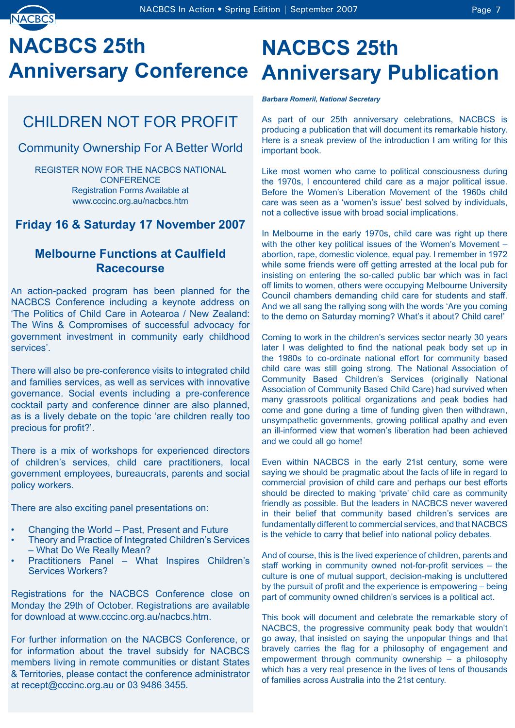

# **NACBCS 25th Anniversary Conference Anniversary Publication**

## CHILDREN NOT FOR PROFIT

### Community Ownership For A Better World

REGISTER NOW FOR THE NACBCS NATIONAL **CONFERENCE** Registration Forms Available at www.cccinc.org.au/nacbcs.htm

## **Friday 16 & Saturday 17 November 2007**

### **Melbourne Functions at Caulfield Racecourse**

An action-packed program has been planned for the NACBCS Conference including a keynote address on 'The Politics of Child Care in Aotearoa / New Zealand: The Wins & Compromises of successful advocacy for government investment in community early childhood services'.

There will also be pre-conference visits to integrated child and families services, as well as services with innovative governance. Social events including a pre-conference cocktail party and conference dinner are also planned, as is a lively debate on the topic 'are children really too precious for profit?'.

There is a mix of workshops for experienced directors of children's services, child care practitioners, local government employees, bureaucrats, parents and social policy workers.

There are also exciting panel presentations on:

- Changing the World Past, Present and Future •
- Theory and Practice of Integrated Children's Services – What Do We Really Mean? •
- Practitioners Panel What Inspires Children's Services Workers? •

Registrations for the NACBCS Conference close on Monday the 29th of October. Registrations are available for download at www.cccinc.org.au/nacbcs.htm.

For further information on the NACBCS Conference, or for information about the travel subsidy for NACBCS members living in remote communities or distant States & Territories, please contact the conference administrator at recept@cccinc.org.au or 03 9486 3455.

# **NACBCS 25th**

*Barbara Romeril, National Secretary*

As part of our 25th anniversary celebrations, NACBCS is producing a publication that will document its remarkable history. Here is a sneak preview of the introduction I am writing for this important book.

Like most women who came to political consciousness during the 1970s, I encountered child care as a major political issue. Before the Women's Liberation Movement of the 1960s child care was seen as a 'women's issue' best solved by individuals, not a collective issue with broad social implications.

In Melbourne in the early 1970s, child care was right up there with the other key political issues of the Women's Movement – abortion, rape, domestic violence, equal pay. I remember in 1972 while some friends were off getting arrested at the local pub for insisting on entering the so-called public bar which was in fact off limits to women, others were occupying Melbourne University Council chambers demanding child care for students and staff. And we all sang the rallying song with the words 'Are you coming to the demo on Saturday morning? What's it about? Child care!'

Coming to work in the children's services sector nearly 30 years later I was delighted to find the national peak body set up in the 1980s to co-ordinate national effort for community based child care was still going strong. The National Association of Community Based Children's Services (originally National Association of Community Based Child Care) had survived when many grassroots political organizations and peak bodies had come and gone during a time of funding given then withdrawn, unsympathetic governments, growing political apathy and even an ill-informed view that women's liberation had been achieved and we could all go home!

Even within NACBCS in the early 21st century, some were saying we should be pragmatic about the facts of life in regard to commercial provision of child care and perhaps our best efforts should be directed to making 'private' child care as community friendly as possible. But the leaders in NACBCS never wavered in their belief that community based children's services are fundamentally different to commercial services, and that NACBCS is the vehicle to carry that belief into national policy debates.

And of course, this is the lived experience of children, parents and staff working in community owned not-for-profit services – the culture is one of mutual support, decision-making is uncluttered by the pursuit of profit and the experience is empowering – being part of community owned children's services is a political act.

This book will document and celebrate the remarkable story of NACBCS, the progressive community peak body that wouldn't go away, that insisted on saying the unpopular things and that bravely carries the flag for a philosophy of engagement and empowerment through community ownership – a philosophy which has a very real presence in the lives of tens of thousands of families across Australia into the 21st century.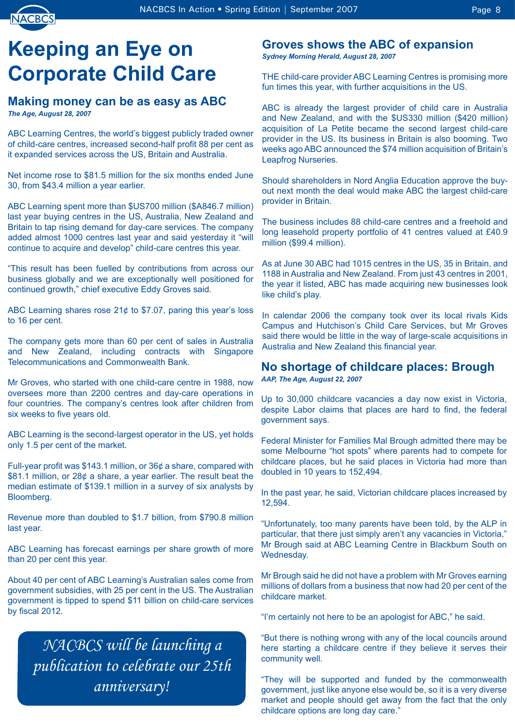

# **Keeping an Eye on Corporate Child Care**

### **Making money can be as easy as ABC** *The Age, August 28, 2007*

ABC Learning Centres, the world's biggest publicly traded owner of child-care centres, increased second-half profit 88 per cent as it expanded services across the US, Britain and Australia.

Net income rose to \$81.5 million for the six months ended June 30, from \$43.4 million a year earlier.

ABC Learning spent more than \$US700 million (\$A846.7 million) last year buying centres in the US, Australia, New Zealand and Britain to tap rising demand for day-care services. The company added almost 1000 centres last year and said yesterday it "will continue to acquire and develop" child-care centres this year.

"This result has been fuelled by contributions from across our business globally and we are exceptionally well positioned for continued growth," chief executive Eddy Groves said.

ABC Learning shares rose 21¢ to \$7.07, paring this year's loss to 16 per cent.

The company gets more than 60 per cent of sales in Australia and New Zealand, including contracts with Singapore Telecommunications and Commonwealth Bank.

Mr Groves, who started with one child-care centre in 1988, now oversees more than 2200 centres and day-care operations in four countries. The company's centres look after children from six weeks to five years old.

ABC Learning is the second-largest operator in the US, yet holds only 1.5 per cent of the market.

Full-year profit was \$143.1 million, or 36¢ a share, compared with \$81.1 million, or 28¢ a share, a year earlier. The result beat the median estimate of \$139.1 million in a survey of six analysts by Bloomberg.

Revenue more than doubled to \$1.7 billion, from \$790.8 million last year.

ABC Learning has forecast earnings per share growth of more than 20 per cent this year.

About 40 per cent of ABC Learning's Australian sales come from government subsidies, with 25 per cent in the US. The Australian government is tipped to spend \$11 billion on child-care services by fiscal 2012.

*NACBCS will be launching a publication to celebrate our 25th anniversary!*

## **Groves shows the ABC of expansion**

*Sydney Morning Herald, August 28, 2007*

THE child-care provider ABC Learning Centres is promising more fun times this year, with further acquisitions in the US.

ABC is already the largest provider of child care in Australia and New Zealand, and with the \$US330 million (\$420 million) acquisition of La Petite became the second largest child-care provider in the US. Its business in Britain is also booming. Two weeks ago ABC announced the \$74 million acquisition of Britain's Leapfrog Nurseries.

Should shareholders in Nord Anglia Education approve the buyout next month the deal would make ABC the largest child-care provider in Britain.

The business includes 88 child-care centres and a freehold and long leasehold property portfolio of 41 centres valued at £40.9 million (\$99.4 million).

As at June 30 ABC had 1015 centres in the US, 35 in Britain, and 1188 in Australia and New Zealand. From just 43 centres in 2001, the year it listed, ABC has made acquiring new businesses look like child's play.

In calendar 2006 the company took over its local rivals Kids Campus and Hutchison's Child Care Services, but Mr Groves said there would be little in the way of large-scale acquisitions in Australia and New Zealand this financial year.

## **No shortage of childcare places: Brough**

*AAP, The Age, August 22, 2007*

Up to 30,000 childcare vacancies a day now exist in Victoria, despite Labor claims that places are hard to find, the federal government says.

Federal Minister for Families Mal Brough admitted there may be some Melbourne "hot spots" where parents had to compete for childcare places, but he said places in Victoria had more than doubled in 10 years to 152,494.

In the past year, he said, Victorian childcare places increased by 12,594.

"Unfortunately, too many parents have been told, by the ALP in particular, that there just simply aren't any vacancies in Victoria," Mr Brough said at ABC Learning Centre in Blackburn South on Wednesday.

Mr Brough said he did not have a problem with Mr Groves earning millions of dollars from a business that now had 20 per cent of the childcare market.

"I'm certainly not here to be an apologist for ABC," he said.

"But there is nothing wrong with any of the local councils around here starting a childcare centre if they believe it serves their community well.

"They will be supported and funded by the commonwealth government, just like anyone else would be, so it is a very diverse market and people should get away from the fact that the only childcare options are long day care."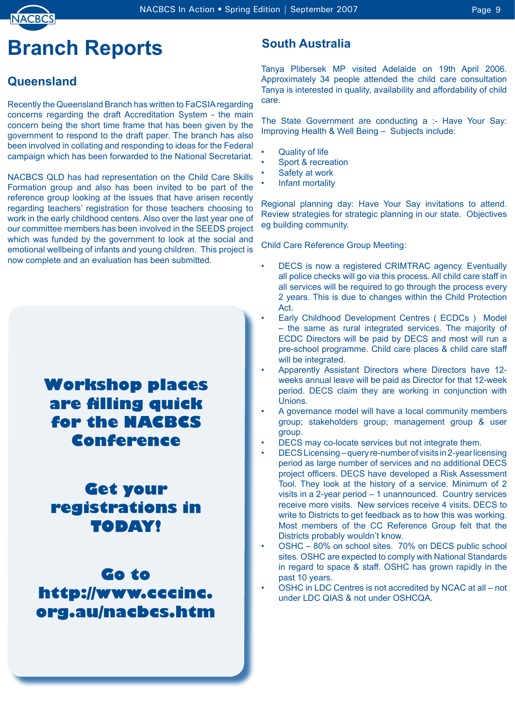

# **Branch Reports**

## **Queensland**

Recently the Queensland Branch has written to FaCSIA regarding concerns regarding the draft Accreditation System - the main concern being the short time frame that has been given by the government to respond to the draft paper. The branch has also been involved in collating and responding to ideas for the Federal campaign which has been forwarded to the National Secretariat.

NACBCS QLD has had representation on the Child Care Skills Formation group and also has been invited to be part of the reference group looking at the issues that have arisen recently regarding teachers' registration for those teachers choosing to work in the early childhood centers. Also over the last year one of our committee members has been involved in the SEEDS project which was funded by the government to look at the social and emotional wellbeing of infants and young children. This project is now complete and an evaluation has been submitted.

## **Workshop places are filling quick for the NACBCS Conference**

**Get your registrations in TODAY!**

**Go to http://www.cccinc. org.au/nacbcs.htm**

### **South Australia**

Tanya Plibersek MP visited Adelaide on 19th April 2006. Approximately 34 people attended the child care consultation Tanya is interested in quality, availability and affordability of child care.

The State Government are conducting a :- Have Your Say: Improving Health & Well Being – Subjects include:

- Quality of life •
- Sport & recreation •
- Safety at work •
- Infant mortality •

Regional planning day: Have Your Say invitations to attend. Review strategies for strategic planning in our state. Objectives eg building community.

Child Care Reference Group Meeting:

- DECS is now a registered CRIMTRAC agency. Eventually all police checks will go via this process. All child care staff in all services will be required to go through the process every 2 years. This is due to changes within the Child Protection Act. •
- Early Childhood Development Centres ( ECDCs ) Model – the same as rural integrated services. The majority of ECDC Directors will be paid by DECS and most will run a pre-school programme. Child care places & child care staff will be integrated. •
- Apparently Assistant Directors where Directors have 12 weeks annual leave will be paid as Director for that 12-week period. DECS claim they are working in conjunction with Unions. •
- A governance model will have a local community members group; stakeholders group; management group & user group. •
- DECS may co-locate services but not integrate them. •
- DECS Licensing query re-number of visits in 2-year licensing period as large number of services and no additional DECS project officers. DECS have developed a Risk Assessment Tool. They look at the history of a service. Minimum of 2 visits in a 2-year period – 1 unannounced. Country services receive more visits. New services receive 4 visits. DECS to write to Districts to get feedback as to how this was working. Most members of the CC Reference Group felt that the Districts probably wouldn't know. •
- OSHC 80% on school sites. 70% on DECS public school sites. OSHC are expected to comply with National Standards in regard to space & staff. OSHC has grown rapidly in the past 10 years. •
- OSHC in LDC Centres is not accredited by NCAC at all not under LDC QIAS & not under OSHCQA. •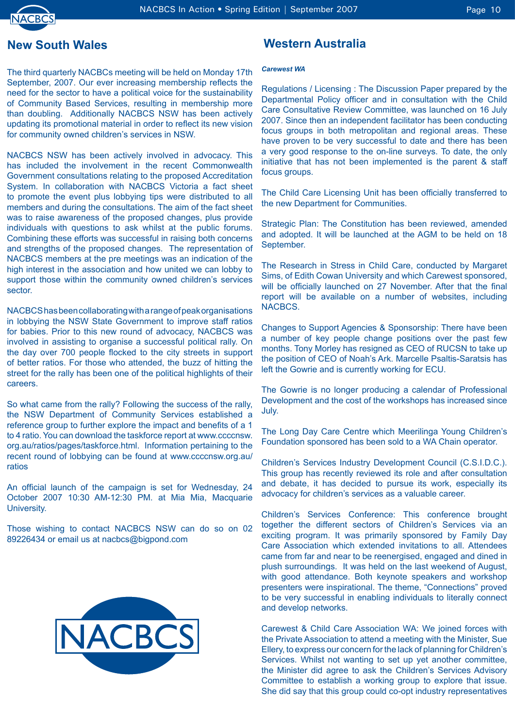

### **New South Wales**

The third quarterly NACBCs meeting will be held on Monday 17th September, 2007. Our ever increasing membership reflects the need for the sector to have a political voice for the sustainability of Community Based Services, resulting in membership more than doubling. Additionally NACBCS NSW has been actively updating its promotional material in order to reflect its new vision for community owned children's services in NSW.

NACBCS NSW has been actively involved in advocacy. This has included the involvement in the recent Commonwealth Government consultations relating to the proposed Accreditation System. In collaboration with NACBCS Victoria a fact sheet to promote the event plus lobbying tips were distributed to all members and during the consultations. The aim of the fact sheet was to raise awareness of the proposed changes, plus provide individuals with questions to ask whilst at the public forums. Combining these efforts was successful in raising both concerns and strengths of the proposed changes. The representation of NACBCS members at the pre meetings was an indication of the high interest in the association and how united we can lobby to support those within the community owned children's services sector.

NACBCS has been collaborating with a range of peak organisations in lobbying the NSW State Government to improve staff ratios for babies. Prior to this new round of advocacy, NACBCS was involved in assisting to organise a successful political rally. On the day over 700 people flocked to the city streets in support of better ratios. For those who attended, the buzz of hitting the street for the rally has been one of the political highlights of their careers.

So what came from the rally? Following the success of the rally, the NSW Department of Community Services established a reference group to further explore the impact and benefits of a 1 to 4 ratio. You can download the taskforce report at www.ccccnsw. org.au/ratios/pages/taskforce.html. Information pertaining to the recent round of lobbying can be found at www.ccccnsw.org.au/ ratios

An official launch of the campaign is set for Wednesday, 24 October 2007 10:30 AM-12:30 PM. at Mia Mia, Macquarie University.

Those wishing to contact NACBCS NSW can do so on 02 89226434 or email us at nacbcs@bigpond.com



### **Western Australia**

#### *Carewest WA*

Regulations / Licensing : The Discussion Paper prepared by the Departmental Policy officer and in consultation with the Child Care Consultative Review Committee, was launched on 16 July 2007. Since then an independent facilitator has been conducting focus groups in both metropolitan and regional areas. These have proven to be very successful to date and there has been a very good response to the on-line surveys. To date, the only initiative that has not been implemented is the parent & staff focus groups.

The Child Care Licensing Unit has been officially transferred to the new Department for Communities.

Strategic Plan: The Constitution has been reviewed, amended and adopted. It will be launched at the AGM to be held on 18 September.

The Research in Stress in Child Care, conducted by Margaret Sims, of Edith Cowan University and which Carewest sponsored, will be officially launched on 27 November. After that the final report will be available on a number of websites, including **NACBCS** 

Changes to Support Agencies & Sponsorship: There have been a number of key people change positions over the past few months. Tony Morley has resigned as CEO of RUCSN to take up the position of CEO of Noah's Ark. Marcelle Psaltis-Saratsis has left the Gowrie and is currently working for ECU.

The Gowrie is no longer producing a calendar of Professional Development and the cost of the workshops has increased since July.

The Long Day Care Centre which Meerilinga Young Children's Foundation sponsored has been sold to a WA Chain operator.

Children's Services Industry Development Council (C.S.I.D.C.). This group has recently reviewed its role and after consultation and debate, it has decided to pursue its work, especially its advocacy for children's services as a valuable career.

Children's Services Conference: This conference brought together the different sectors of Children's Services via an exciting program. It was primarily sponsored by Family Day Care Association which extended invitations to all. Attendees came from far and near to be reenergised, engaged and dined in plush surroundings. It was held on the last weekend of August, with good attendance. Both keynote speakers and workshop presenters were inspirational. The theme, "Connections" proved to be very successful in enabling individuals to literally connect and develop networks.

Carewest & Child Care Association WA: We joined forces with the Private Association to attend a meeting with the Minister, Sue Ellery, to express our concern for the lack of planning for Children's Services. Whilst not wanting to set up yet another committee, the Minister did agree to ask the Children's Services Advisory Committee to establish a working group to explore that issue. She did say that this group could co-opt industry representatives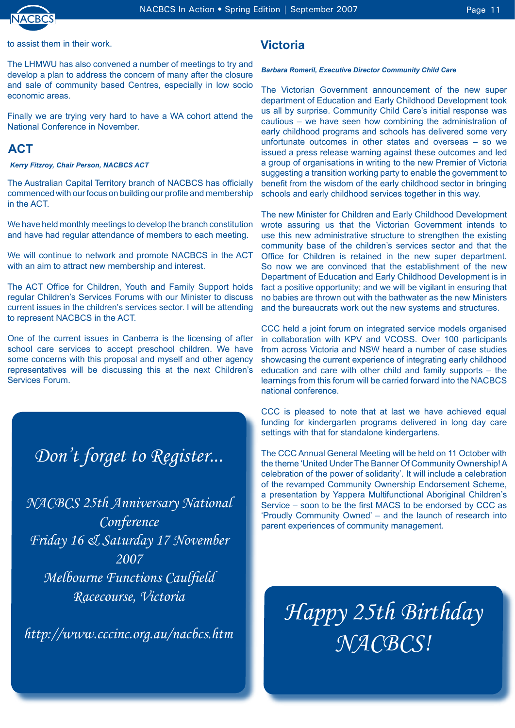

to assist them in their work.

The LHMWU has also convened a number of meetings to try and develop a plan to address the concern of many after the closure and sale of community based Centres, especially in low socio economic areas.

Finally we are trying very hard to have a WA cohort attend the National Conference in November.

### **ACT**

### *Kerry Fitzroy, Chair Person, NACBCS ACT*

The Australian Capital Territory branch of NACBCS has officially commenced with our focus on building our profile and membership in the ACT.

We have held monthly meetings to develop the branch constitution and have had regular attendance of members to each meeting.

We will continue to network and promote NACBCS in the ACT with an aim to attract new membership and interest.

The ACT Office for Children, Youth and Family Support holds regular Children's Services Forums with our Minister to discuss current issues in the children's services sector. I will be attending to represent NACBCS in the ACT.

One of the current issues in Canberra is the licensing of after school care services to accept preschool children. We have some concerns with this proposal and myself and other agency representatives will be discussing this at the next Children's Services Forum.

## *Don't forget to Register...*

*NACBCS 25th Anniversary National Conference Friday 16 & Saturday 17 November 2007 Melbourne Functions Caulfield Racecourse, Victoria*

*http://www.cccinc.org.au/nacbcs.htm*

### **Victoria**

### *Barbara Romeril, Executive Director Community Child Care*

The Victorian Government announcement of the new super department of Education and Early Childhood Development took us all by surprise. Community Child Care's initial response was cautious – we have seen how combining the administration of early childhood programs and schools has delivered some very unfortunate outcomes in other states and overseas – so we issued a press release warning against these outcomes and led a group of organisations in writing to the new Premier of Victoria suggesting a transition working party to enable the government to benefit from the wisdom of the early childhood sector in bringing schools and early childhood services together in this way.

The new Minister for Children and Early Childhood Development wrote assuring us that the Victorian Government intends to use this new administrative structure to strengthen the existing community base of the children's services sector and that the Office for Children is retained in the new super department. So now we are convinced that the establishment of the new Department of Education and Early Childhood Development is in fact a positive opportunity; and we will be vigilant in ensuring that no babies are thrown out with the bathwater as the new Ministers and the bureaucrats work out the new systems and structures.

CCC held a joint forum on integrated service models organised in collaboration with KPV and VCOSS. Over 100 participants from across Victoria and NSW heard a number of case studies showcasing the current experience of integrating early childhood education and care with other child and family supports – the learnings from this forum will be carried forward into the NACBCS national conference.

CCC is pleased to note that at last we have achieved equal funding for kindergarten programs delivered in long day care settings with that for standalone kindergartens.

The CCC Annual General Meeting will be held on 11 October with the theme 'United Under The Banner Of Community Ownership! A celebration of the power of solidarity'. It will include a celebration of the revamped Community Ownership Endorsement Scheme, a presentation by Yappera Multifunctional Aboriginal Children's Service – soon to be the first MACS to be endorsed by CCC as 'Proudly Community Owned' – and the launch of research into parent experiences of community management.

*Happy 25th Birthday NACBCS!*